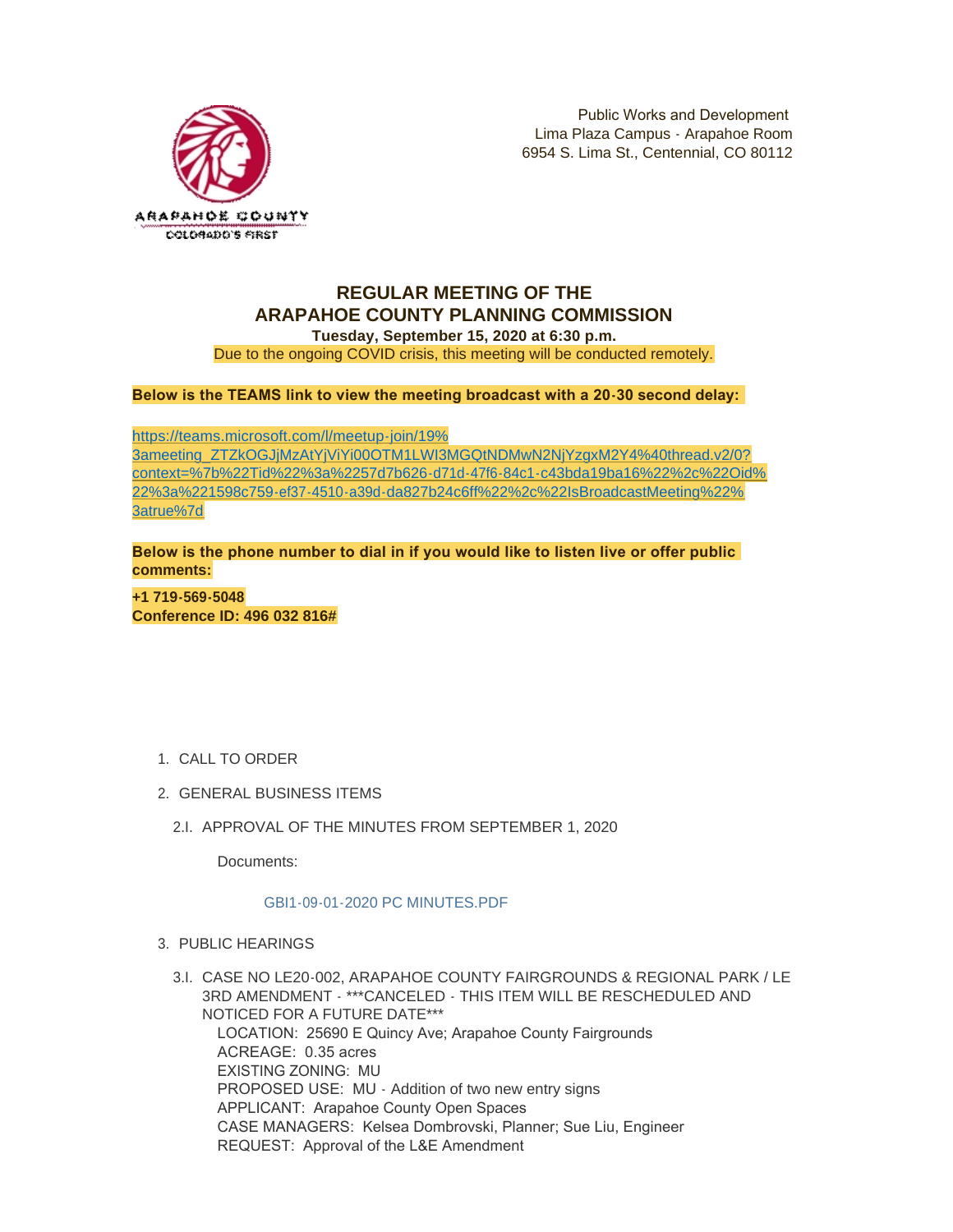

# **REGULAR MEETING OF THE ARAPAHOE COUNTY PLANNING COMMISSION**

**Tuesday, September 15, 2020 at 6:30 p.m.** Due to the ongoing COVID crisis, this meeting will be conducted remotely.

**Below is the TEAMS link to view the meeting broadcast with a 20-30 second delay:** 

https://teams.microsoft.com/l/meetup-join/19% 3ameeting\_ZTZkOGJjMzAtYjViYi00OTM1LWI3MGQtNDMwN2NjYzgxM2Y4%40thread.v2/0? [context=%7b%22Tid%22%3a%2257d7b626-d71d-47f6-84c1-c43bda19ba16%22%2c%22Oid%](https://teams.microsoft.com/l/meetup-join/19%3ameeting_ZTZkOGJjMzAtYjViYi00OTM1LWI3MGQtNDMwN2NjYzgxM2Y4%40thread.v2/0?context=%7b%22Tid%22%3a%2257d7b626-d71d-47f6-84c1-c43bda19ba16%22%2c%22Oid%22%3a%221598c759-ef37-4510-a39d-da827b24c6ff%22%2c%22IsBroadcastMeeting%22%3atrue%7d) 22%3a%221598c759-ef37-4510-a39d-da827b24c6ff%22%2c%22IsBroadcastMeeting%22% 3atrue%7d

**Below is the phone number to dial in if you would like to listen live or offer public comments:**

**+1 719-569-5048 Conference ID: 496 032 816#**

- 1. CALL TO ORDER
- GENERAL BUSINESS ITEMS 2.
	- 2.I. APPROVAL OF THE MINUTES FROM SEPTEMBER 1, 2020

Documents:

## GBI1-09-01-2020 PC MINUTES.PDF

- PUBLIC HEARINGS 3.
	- CASE NO LE20-002, ARAPAHOE COUNTY FAIRGROUNDS & REGIONAL PARK / LE 3.I. 3RD AMENDMENT - \*\*\*CANCELED - THIS ITEM WILL BE RESCHEDULED AND NOTICED FOR A FUTURE DATE\*\*\* LOCATION: 25690 E Quincy Ave; Arapahoe County Fairgrounds ACREAGE: 0.35 acres EXISTING ZONING: MU PROPOSED USE: MU - Addition of two new entry signs APPLICANT: Arapahoe County Open Spaces CASE MANAGERS: Kelsea Dombrovski, Planner; Sue Liu, Engineer REQUEST: Approval of the L&E Amendment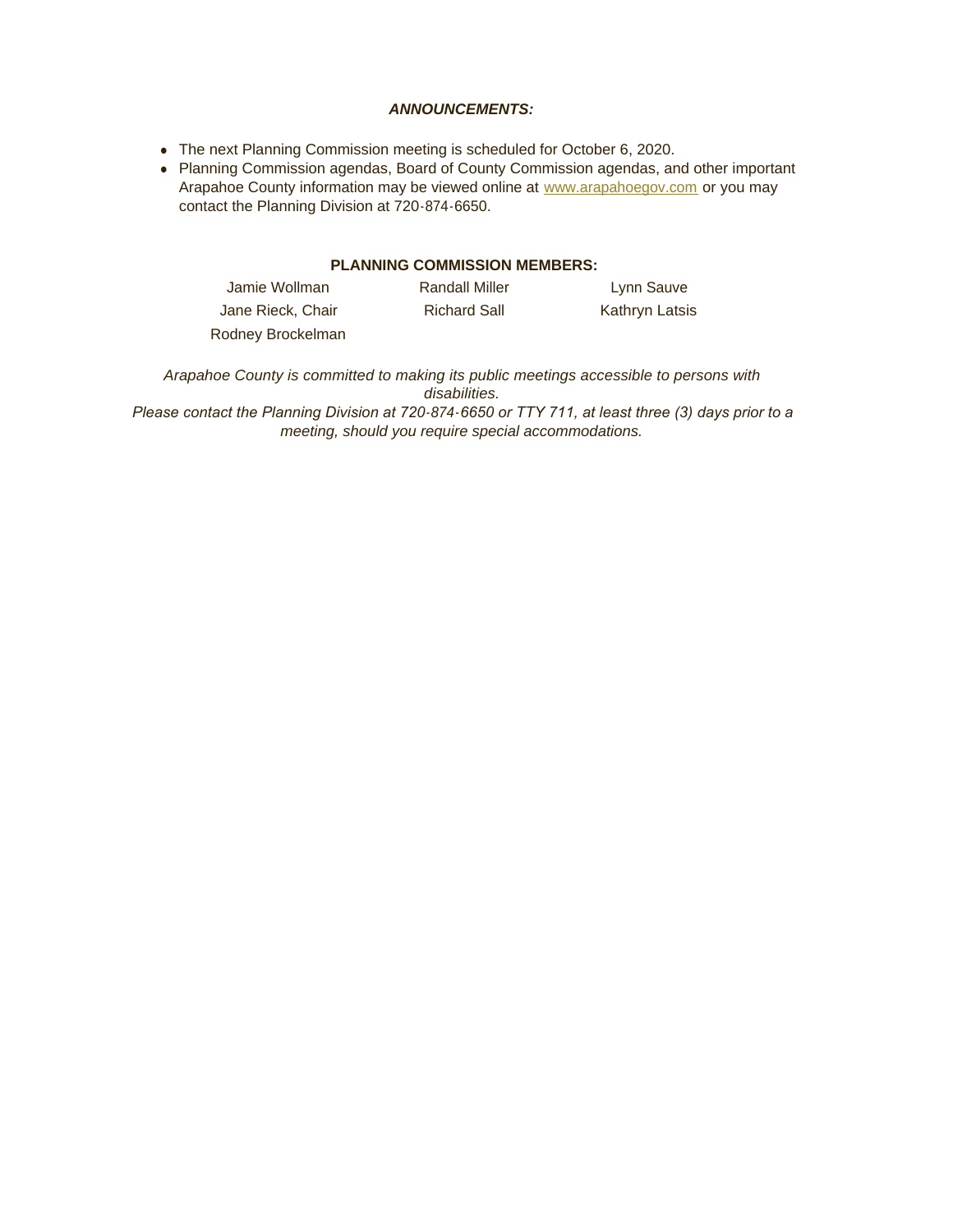#### *ANNOUNCEMENTS:*

- The next Planning Commission meeting is scheduled for October 6, 2020.
- Planning Commission agendas, Board of County Commission agendas, and other important Arapahoe County information may be viewed online at [www.arapahoegov.com](http://www.arapahoegov.com/) or you may contact the Planning Division at 720-874-6650.

## **PLANNING COMMISSION MEMBERS:**

| Jamie Wollman     | <b>Randall Miller</b> | Lynn Sauve     |
|-------------------|-----------------------|----------------|
| Jane Rieck, Chair | <b>Richard Sall</b>   | Kathryn Latsis |
| Rodney Brockelman |                       |                |

*Arapahoe County is committed to making its public meetings accessible to persons with disabilities.*

*Please contact the Planning Division at 720-874-6650 or TTY 711, at least three (3) days prior to a meeting, should you require special accommodations.*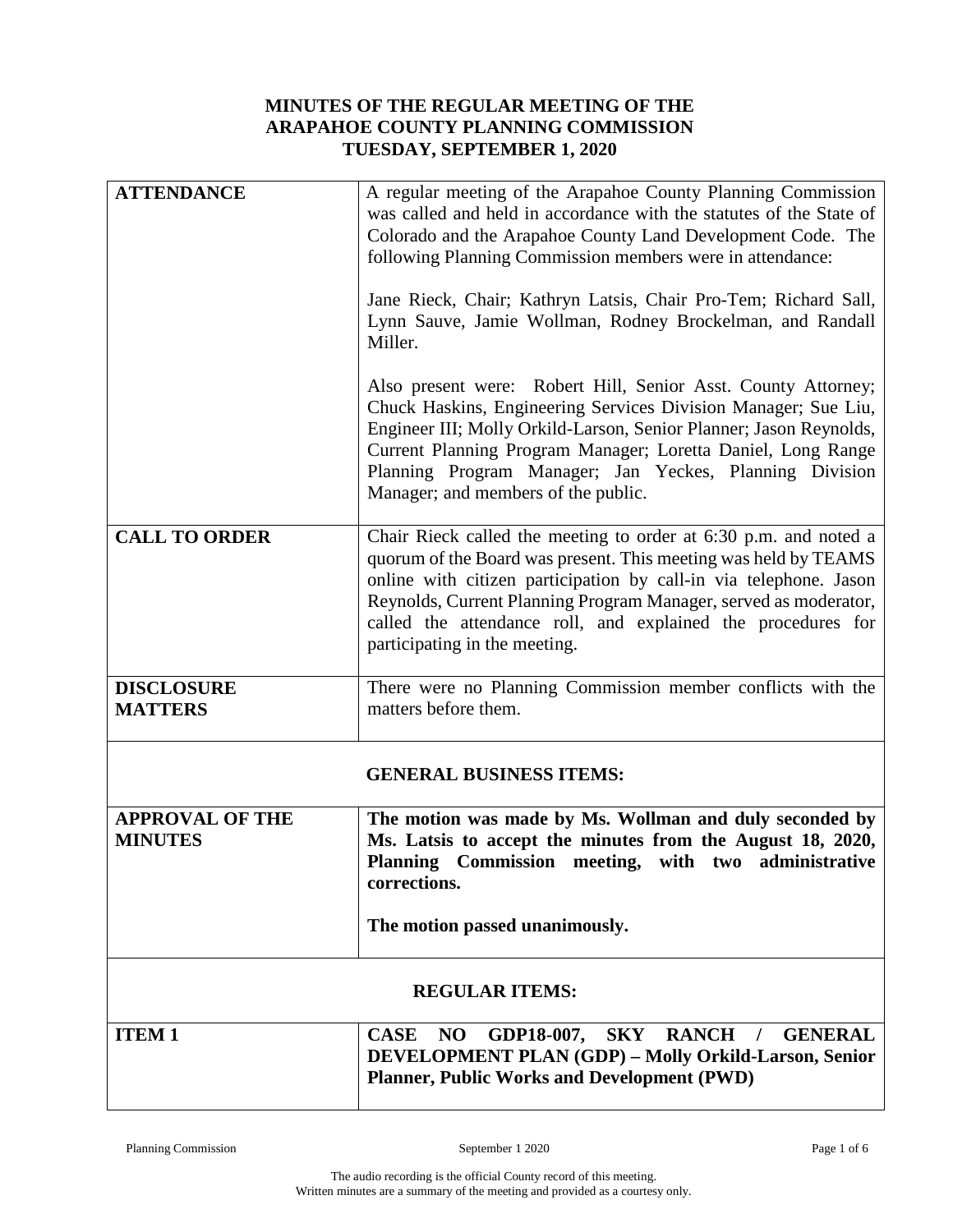# **MINUTES OF THE REGULAR MEETING OF THE ARAPAHOE COUNTY PLANNING COMMISSION TUESDAY, SEPTEMBER 1, 2020**

| <b>ATTENDANCE</b>      | A regular meeting of the Arapahoe County Planning Commission                                                            |  |
|------------------------|-------------------------------------------------------------------------------------------------------------------------|--|
|                        | was called and held in accordance with the statutes of the State of                                                     |  |
|                        | Colorado and the Arapahoe County Land Development Code. The                                                             |  |
|                        | following Planning Commission members were in attendance:                                                               |  |
|                        |                                                                                                                         |  |
|                        | Jane Rieck, Chair; Kathryn Latsis, Chair Pro-Tem; Richard Sall,                                                         |  |
|                        | Lynn Sauve, Jamie Wollman, Rodney Brockelman, and Randall                                                               |  |
|                        | Miller.                                                                                                                 |  |
|                        |                                                                                                                         |  |
|                        | Also present were: Robert Hill, Senior Asst. County Attorney;                                                           |  |
|                        | Chuck Haskins, Engineering Services Division Manager; Sue Liu,                                                          |  |
|                        | Engineer III; Molly Orkild-Larson, Senior Planner; Jason Reynolds,                                                      |  |
|                        | Current Planning Program Manager; Loretta Daniel, Long Range<br>Planning Program Manager; Jan Yeckes, Planning Division |  |
|                        | Manager; and members of the public.                                                                                     |  |
|                        |                                                                                                                         |  |
| <b>CALL TO ORDER</b>   | Chair Rieck called the meeting to order at 6:30 p.m. and noted a                                                        |  |
|                        | quorum of the Board was present. This meeting was held by TEAMS                                                         |  |
|                        | online with citizen participation by call-in via telephone. Jason                                                       |  |
|                        | Reynolds, Current Planning Program Manager, served as moderator,                                                        |  |
|                        | called the attendance roll, and explained the procedures for                                                            |  |
|                        | participating in the meeting.                                                                                           |  |
| <b>DISCLOSURE</b>      | There were no Planning Commission member conflicts with the                                                             |  |
| <b>MATTERS</b>         | matters before them.                                                                                                    |  |
|                        |                                                                                                                         |  |
|                        |                                                                                                                         |  |
|                        | <b>GENERAL BUSINESS ITEMS:</b>                                                                                          |  |
| <b>APPROVAL OF THE</b> | The motion was made by Ms. Wollman and duly seconded by                                                                 |  |
| <b>MINUTES</b>         | Ms. Latsis to accept the minutes from the August 18, 2020,                                                              |  |
|                        | Planning Commission meeting, with two administrative                                                                    |  |
|                        | corrections.                                                                                                            |  |
|                        |                                                                                                                         |  |
|                        | The motion passed unanimously.                                                                                          |  |
|                        |                                                                                                                         |  |
| <b>REGULAR ITEMS:</b>  |                                                                                                                         |  |
| <b>ITEM1</b>           | <b>CASE</b><br><b>SKY</b><br><b>RANCH</b><br><b>GENERAL</b><br>NO<br>GDP18-007,<br>$\frac{1}{2}$                        |  |
|                        | DEVELOPMENT PLAN (GDP) - Molly Orkild-Larson, Senior                                                                    |  |
|                        | <b>Planner, Public Works and Development (PWD)</b>                                                                      |  |
|                        |                                                                                                                         |  |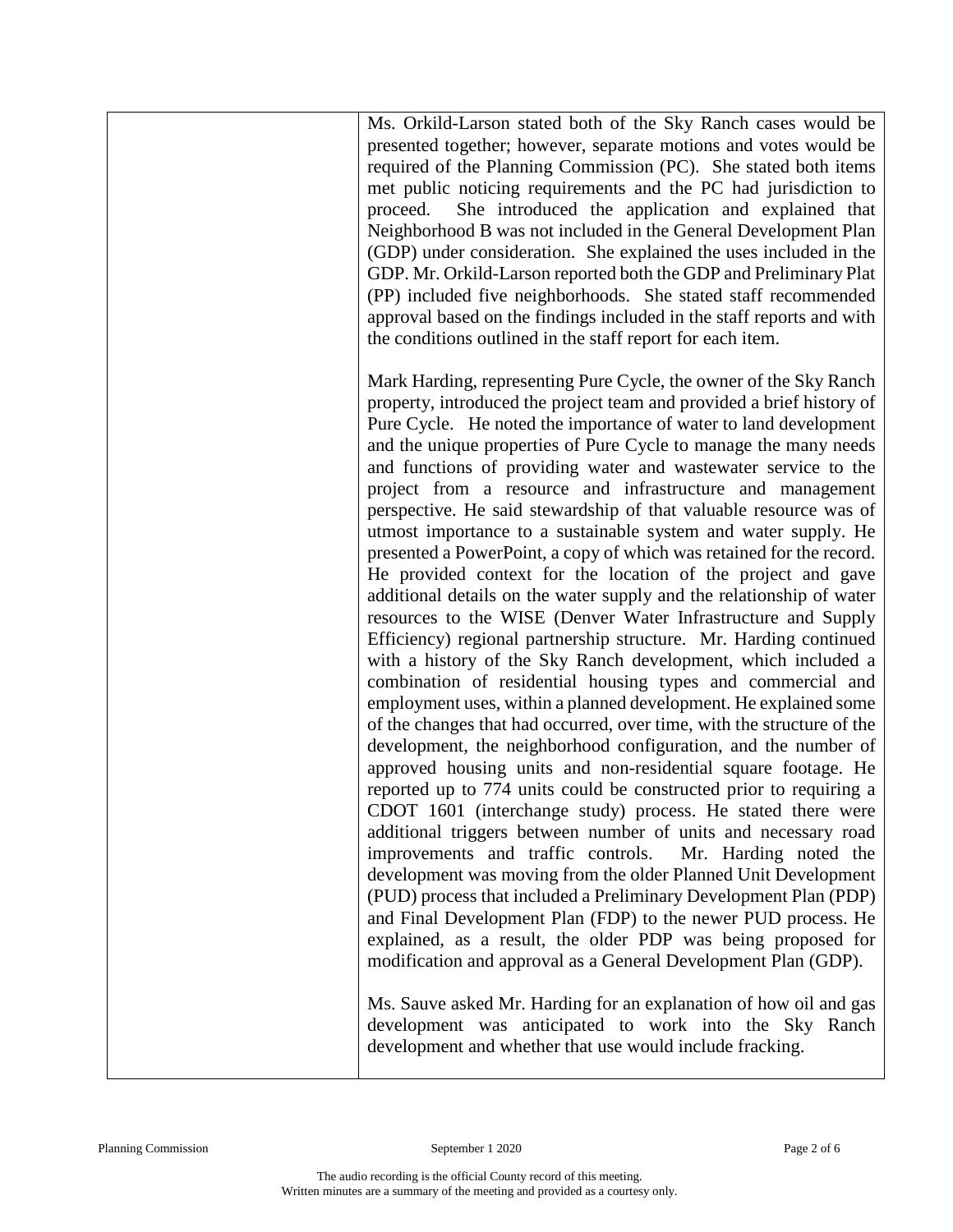Ms. Orkild-Larson stated both of the Sky Ranch cases would be presented together; however, separate motions and votes would be required of the Planning Commission (PC). She stated both items met public noticing requirements and the PC had jurisdiction to proceed. She introduced the application and explained that Neighborhood B was not included in the General Development Plan (GDP) under consideration. She explained the uses included in the GDP. Mr. Orkild-Larson reported both the GDP and Preliminary Plat (PP) included five neighborhoods. She stated staff recommended approval based on the findings included in the staff reports and with the conditions outlined in the staff report for each item.

Mark Harding, representing Pure Cycle, the owner of the Sky Ranch property, introduced the project team and provided a brief history of Pure Cycle. He noted the importance of water to land development and the unique properties of Pure Cycle to manage the many needs and functions of providing water and wastewater service to the project from a resource and infrastructure and management perspective. He said stewardship of that valuable resource was of utmost importance to a sustainable system and water supply. He presented a PowerPoint, a copy of which was retained for the record. He provided context for the location of the project and gave additional details on the water supply and the relationship of water resources to the WISE (Denver Water Infrastructure and Supply Efficiency) regional partnership structure. Mr. Harding continued with a history of the Sky Ranch development, which included a combination of residential housing types and commercial and employment uses, within a planned development. He explained some of the changes that had occurred, over time, with the structure of the development, the neighborhood configuration, and the number of approved housing units and non-residential square footage. He reported up to 774 units could be constructed prior to requiring a CDOT 1601 (interchange study) process. He stated there were additional triggers between number of units and necessary road improvements and traffic controls. Mr. Harding noted the development was moving from the older Planned Unit Development (PUD) process that included a Preliminary Development Plan (PDP) and Final Development Plan (FDP) to the newer PUD process. He explained, as a result, the older PDP was being proposed for modification and approval as a General Development Plan (GDP).

Ms. Sauve asked Mr. Harding for an explanation of how oil and gas development was anticipated to work into the Sky Ranch development and whether that use would include fracking.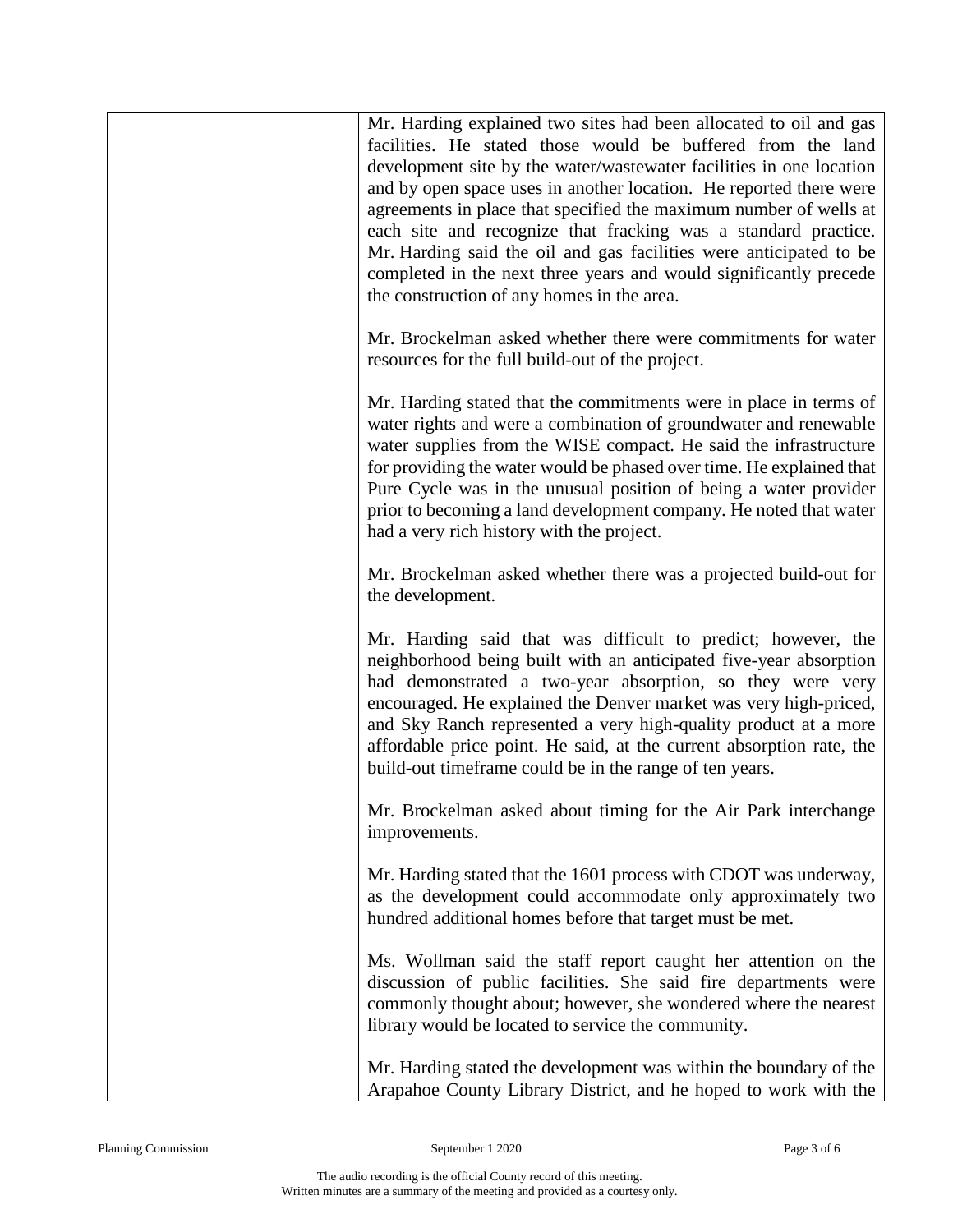| Mr. Harding explained two sites had been allocated to oil and gas<br>facilities. He stated those would be buffered from the land<br>development site by the water/wastewater facilities in one location<br>and by open space uses in another location. He reported there were<br>agreements in place that specified the maximum number of wells at<br>each site and recognize that fracking was a standard practice.<br>Mr. Harding said the oil and gas facilities were anticipated to be<br>completed in the next three years and would significantly precede<br>the construction of any homes in the area. |
|---------------------------------------------------------------------------------------------------------------------------------------------------------------------------------------------------------------------------------------------------------------------------------------------------------------------------------------------------------------------------------------------------------------------------------------------------------------------------------------------------------------------------------------------------------------------------------------------------------------|
| Mr. Brockelman asked whether there were commitments for water<br>resources for the full build-out of the project.                                                                                                                                                                                                                                                                                                                                                                                                                                                                                             |
| Mr. Harding stated that the commitments were in place in terms of<br>water rights and were a combination of groundwater and renewable<br>water supplies from the WISE compact. He said the infrastructure<br>for providing the water would be phased over time. He explained that<br>Pure Cycle was in the unusual position of being a water provider<br>prior to becoming a land development company. He noted that water<br>had a very rich history with the project.                                                                                                                                       |
| Mr. Brockelman asked whether there was a projected build-out for<br>the development.                                                                                                                                                                                                                                                                                                                                                                                                                                                                                                                          |
| Mr. Harding said that was difficult to predict; however, the<br>neighborhood being built with an anticipated five-year absorption<br>had demonstrated a two-year absorption, so they were very<br>encouraged. He explained the Denver market was very high-priced,<br>and Sky Ranch represented a very high-quality product at a more<br>affordable price point. He said, at the current absorption rate, the<br>build-out timeframe could be in the range of ten years.                                                                                                                                      |
| Mr. Brockelman asked about timing for the Air Park interchange<br>improvements.                                                                                                                                                                                                                                                                                                                                                                                                                                                                                                                               |
| Mr. Harding stated that the 1601 process with CDOT was underway,<br>as the development could accommodate only approximately two<br>hundred additional homes before that target must be met.                                                                                                                                                                                                                                                                                                                                                                                                                   |
| Ms. Wollman said the staff report caught her attention on the<br>discussion of public facilities. She said fire departments were<br>commonly thought about; however, she wondered where the nearest<br>library would be located to service the community.                                                                                                                                                                                                                                                                                                                                                     |
| Mr. Harding stated the development was within the boundary of the<br>Arapahoe County Library District, and he hoped to work with the                                                                                                                                                                                                                                                                                                                                                                                                                                                                          |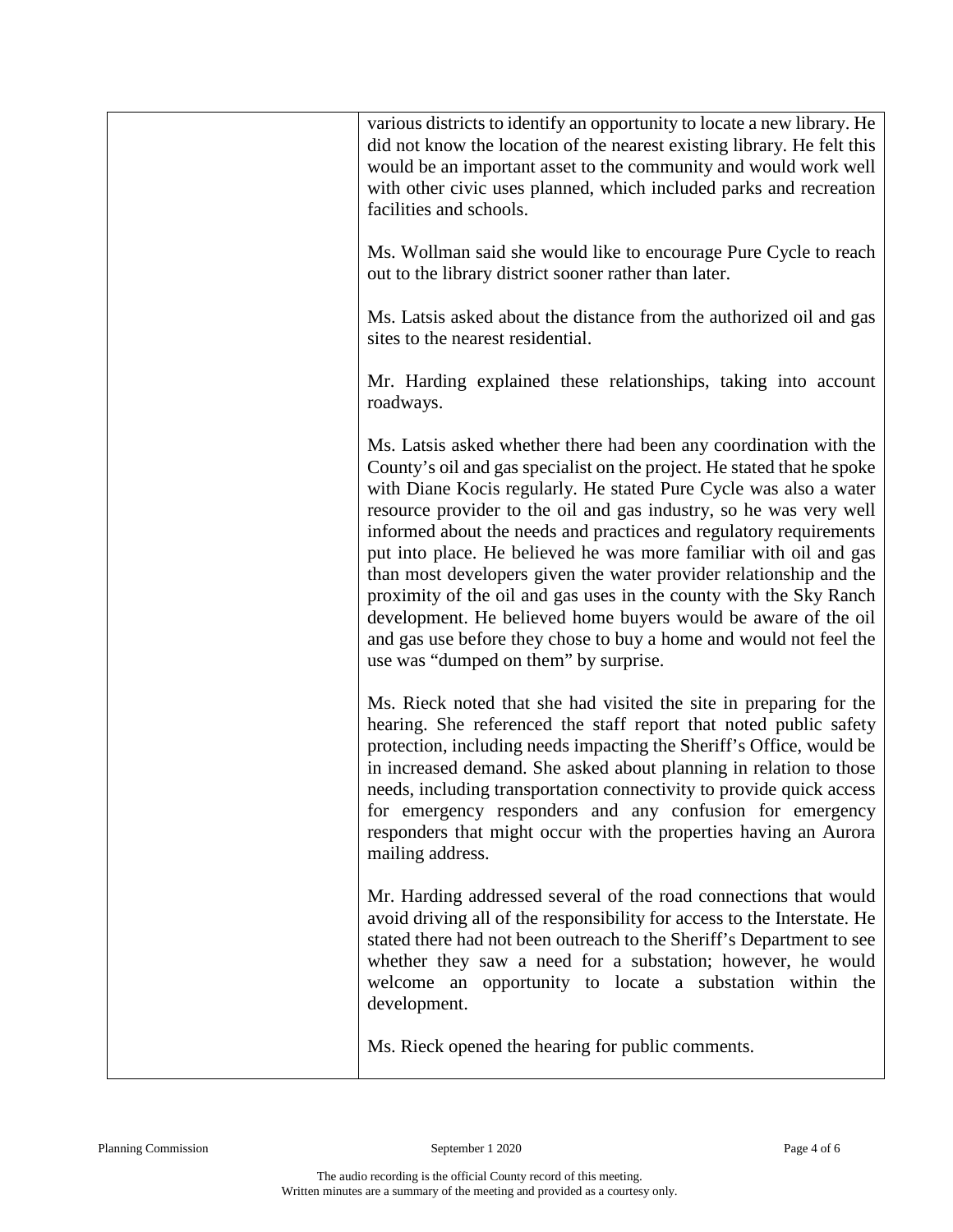| various districts to identify an opportunity to locate a new library. He<br>did not know the location of the nearest existing library. He felt this<br>would be an important asset to the community and would work well<br>with other civic uses planned, which included parks and recreation<br>facilities and schools.                                                                                                                                                                                                                                                                                                                                                                                                                                        |
|-----------------------------------------------------------------------------------------------------------------------------------------------------------------------------------------------------------------------------------------------------------------------------------------------------------------------------------------------------------------------------------------------------------------------------------------------------------------------------------------------------------------------------------------------------------------------------------------------------------------------------------------------------------------------------------------------------------------------------------------------------------------|
| Ms. Wollman said she would like to encourage Pure Cycle to reach<br>out to the library district sooner rather than later.                                                                                                                                                                                                                                                                                                                                                                                                                                                                                                                                                                                                                                       |
| Ms. Latsis asked about the distance from the authorized oil and gas<br>sites to the nearest residential.                                                                                                                                                                                                                                                                                                                                                                                                                                                                                                                                                                                                                                                        |
| Mr. Harding explained these relationships, taking into account<br>roadways.                                                                                                                                                                                                                                                                                                                                                                                                                                                                                                                                                                                                                                                                                     |
| Ms. Latsis asked whether there had been any coordination with the<br>County's oil and gas specialist on the project. He stated that he spoke<br>with Diane Kocis regularly. He stated Pure Cycle was also a water<br>resource provider to the oil and gas industry, so he was very well<br>informed about the needs and practices and regulatory requirements<br>put into place. He believed he was more familiar with oil and gas<br>than most developers given the water provider relationship and the<br>proximity of the oil and gas uses in the county with the Sky Ranch<br>development. He believed home buyers would be aware of the oil<br>and gas use before they chose to buy a home and would not feel the<br>use was "dumped on them" by surprise. |
| Ms. Rieck noted that she had visited the site in preparing for the<br>hearing. She referenced the staff report that noted public safety<br>protection, including needs impacting the Sheriff's Office, would be<br>in increased demand. She asked about planning in relation to those<br>needs, including transportation connectivity to provide quick access<br>for emergency responders and any confusion for emergency<br>responders that might occur with the properties having an Aurora<br>mailing address.                                                                                                                                                                                                                                               |
| Mr. Harding addressed several of the road connections that would<br>avoid driving all of the responsibility for access to the Interstate. He<br>stated there had not been outreach to the Sheriff's Department to see<br>whether they saw a need for a substation; however, he would<br>welcome an opportunity to locate a substation within the<br>development.                                                                                                                                                                                                                                                                                                                                                                                                |
| Ms. Rieck opened the hearing for public comments.                                                                                                                                                                                                                                                                                                                                                                                                                                                                                                                                                                                                                                                                                                               |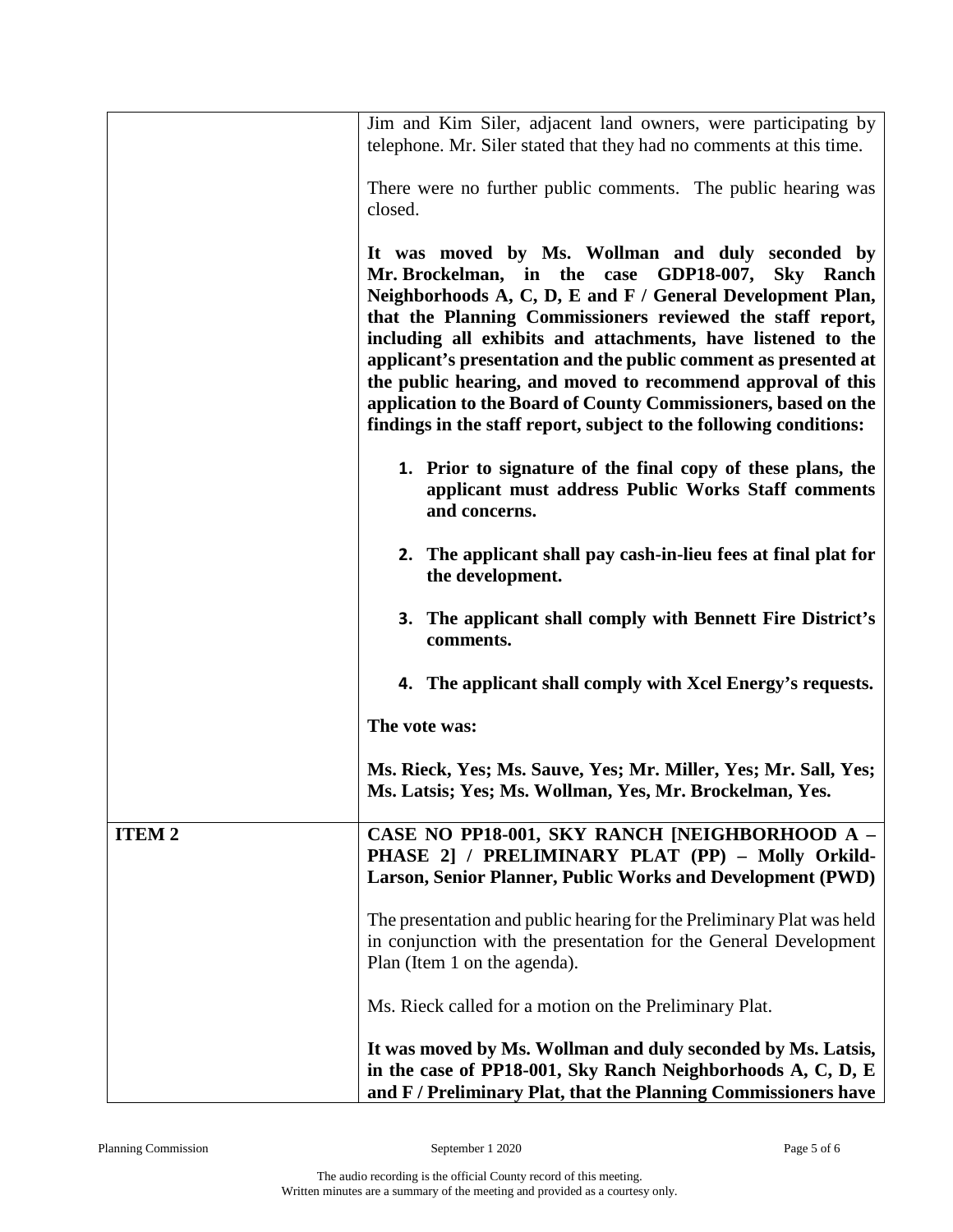|              | Jim and Kim Siler, adjacent land owners, were participating by<br>telephone. Mr. Siler stated that they had no comments at this time.                                                                                                                                                                                                                                                                                                                                                                                                                                      |
|--------------|----------------------------------------------------------------------------------------------------------------------------------------------------------------------------------------------------------------------------------------------------------------------------------------------------------------------------------------------------------------------------------------------------------------------------------------------------------------------------------------------------------------------------------------------------------------------------|
|              | There were no further public comments. The public hearing was<br>closed.                                                                                                                                                                                                                                                                                                                                                                                                                                                                                                   |
|              | It was moved by Ms. Wollman and duly seconded by<br>Mr. Brockelman, in the case GDP18-007, Sky Ranch<br>Neighborhoods A, C, D, E and F / General Development Plan,<br>that the Planning Commissioners reviewed the staff report,<br>including all exhibits and attachments, have listened to the<br>applicant's presentation and the public comment as presented at<br>the public hearing, and moved to recommend approval of this<br>application to the Board of County Commissioners, based on the<br>findings in the staff report, subject to the following conditions: |
|              | 1. Prior to signature of the final copy of these plans, the<br>applicant must address Public Works Staff comments<br>and concerns.                                                                                                                                                                                                                                                                                                                                                                                                                                         |
|              | 2. The applicant shall pay cash-in-lieu fees at final plat for<br>the development.                                                                                                                                                                                                                                                                                                                                                                                                                                                                                         |
|              | <b>3.</b> The applicant shall comply with Bennett Fire District's<br>comments.                                                                                                                                                                                                                                                                                                                                                                                                                                                                                             |
|              | 4. The applicant shall comply with Xcel Energy's requests.                                                                                                                                                                                                                                                                                                                                                                                                                                                                                                                 |
|              | The vote was:                                                                                                                                                                                                                                                                                                                                                                                                                                                                                                                                                              |
|              | Ms. Rieck, Yes; Ms. Sauve, Yes; Mr. Miller, Yes; Mr. Sall, Yes;<br>Ms. Latsis; Yes; Ms. Wollman, Yes, Mr. Brockelman, Yes.                                                                                                                                                                                                                                                                                                                                                                                                                                                 |
| <b>ITEM2</b> | CASE NO PP18-001, SKY RANCH [NEIGHBORHOOD A -<br>PHASE 2] / PRELIMINARY PLAT (PP) - Molly Orkild-<br>Larson, Senior Planner, Public Works and Development (PWD)                                                                                                                                                                                                                                                                                                                                                                                                            |
|              | The presentation and public hearing for the Preliminary Plat was held<br>in conjunction with the presentation for the General Development<br>Plan (Item 1 on the agenda).                                                                                                                                                                                                                                                                                                                                                                                                  |
|              | Ms. Rieck called for a motion on the Preliminary Plat.                                                                                                                                                                                                                                                                                                                                                                                                                                                                                                                     |
|              | It was moved by Ms. Wollman and duly seconded by Ms. Latsis,<br>in the case of PP18-001, Sky Ranch Neighborhoods A, C, D, E<br>and F / Preliminary Plat, that the Planning Commissioners have                                                                                                                                                                                                                                                                                                                                                                              |